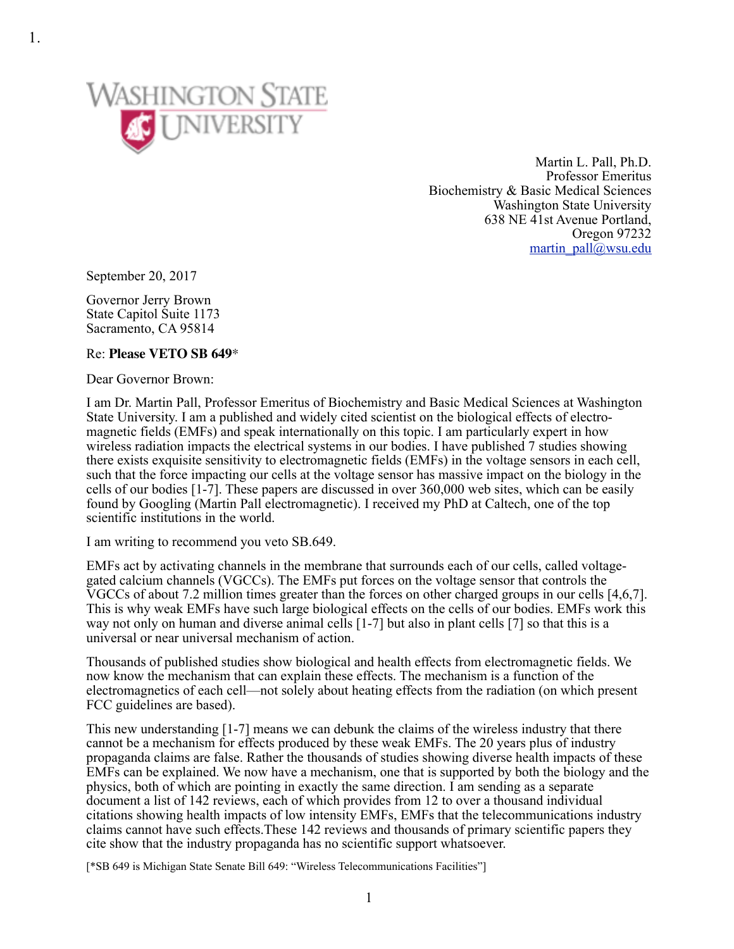

Martin L. Pall, Ph.D. Professor Emeritus Biochemistry & Basic Medical Sciences Washington State University 638 NE 41st Avenue Portland, Oregon 97232 [martin\\_pall@wsu.edu](mailto:martin_pall@wsu.edu)

September 20, 2017

Governor Jerry Brown State Capitol Suite 1173 Sacramento, CA 95814

## Re: **Please VETO SB 649**\*

Dear Governor Brown:

I am Dr. Martin Pall, Professor Emeritus of Biochemistry and Basic Medical Sciences at Washington State University. I am a published and widely cited scientist on the biological effects of electromagnetic fields (EMFs) and speak internationally on this topic. I am particularly expert in how wireless radiation impacts the electrical systems in our bodies. I have published 7 studies showing there exists exquisite sensitivity to electromagnetic fields (EMFs) in the voltage sensors in each cell, such that the force impacting our cells at the voltage sensor has massive impact on the biology in the cells of our bodies [1-7]. These papers are discussed in over 360,000 web sites, which can be easily found by Googling (Martin Pall electromagnetic). I received my PhD at Caltech, one of the top scientific institutions in the world.

I am writing to recommend you veto SB.649.

EMFs act by activating channels in the membrane that surrounds each of our cells, called voltagegated calcium channels (VGCCs). The EMFs put forces on the voltage sensor that controls the VGCCs of about 7.2 million times greater than the forces on other charged groups in our cells [4,6,7]. This is why weak EMFs have such large biological effects on the cells of our bodies. EMFs work this way not only on human and diverse animal cells [1-7] but also in plant cells [7] so that this is a universal or near universal mechanism of action.

Thousands of published studies show biological and health effects from electromagnetic fields. We now know the mechanism that can explain these effects. The mechanism is a function of the electromagnetics of each cell—not solely about heating effects from the radiation (on which present FCC guidelines are based).

This new understanding [1-7] means we can debunk the claims of the wireless industry that there cannot be a mechanism for effects produced by these weak EMFs. The 20 years plus of industry propaganda claims are false. Rather the thousands of studies showing diverse health impacts of these EMFs can be explained. We now have a mechanism, one that is supported by both the biology and the physics, both of which are pointing in exactly the same direction. I am sending as a separate document a list of 142 reviews, each of which provides from 12 to over a thousand individual citations showing health impacts of low intensity EMFs, EMFs that the telecommunications industry claims cannot have such effects.These 142 reviews and thousands of primary scientific papers they cite show that the industry propaganda has no scientific support whatsoever.

[\*SB 649 is Michigan State Senate Bill 649: "Wireless Telecommunications Facilities"]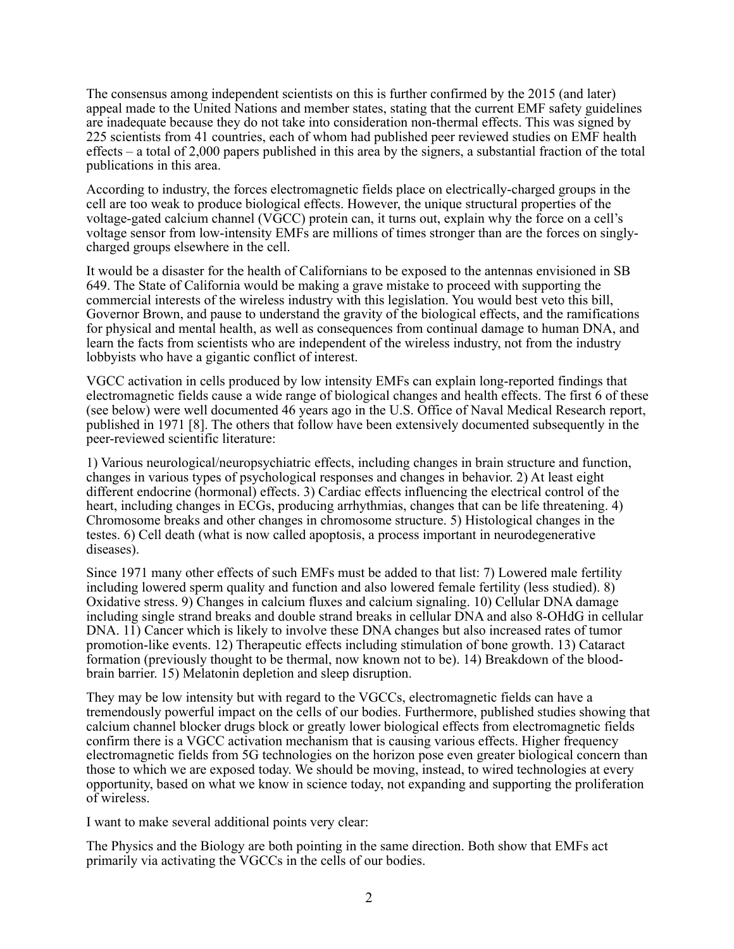The consensus among independent scientists on this is further confirmed by the 2015 (and later) appeal made to the United Nations and member states, stating that the current EMF safety guidelines are inadequate because they do not take into consideration non-thermal effects. This was signed by 225 scientists from 41 countries, each of whom had published peer reviewed studies on EMF health effects – a total of 2,000 papers published in this area by the signers, a substantial fraction of the total publications in this area.

According to industry, the forces electromagnetic fields place on electrically-charged groups in the cell are too weak to produce biological effects. However, the unique structural properties of the voltage-gated calcium channel (VGCC) protein can, it turns out, explain why the force on a cell's voltage sensor from low-intensity EMFs are millions of times stronger than are the forces on singlycharged groups elsewhere in the cell.

It would be a disaster for the health of Californians to be exposed to the antennas envisioned in SB 649. The State of California would be making a grave mistake to proceed with supporting the commercial interests of the wireless industry with this legislation. You would best veto this bill, Governor Brown, and pause to understand the gravity of the biological effects, and the ramifications for physical and mental health, as well as consequences from continual damage to human DNA, and learn the facts from scientists who are independent of the wireless industry, not from the industry lobbyists who have a gigantic conflict of interest.

VGCC activation in cells produced by low intensity EMFs can explain long-reported findings that electromagnetic fields cause a wide range of biological changes and health effects. The first 6 of these (see below) were well documented 46 years ago in the U.S. Office of Naval Medical Research report, published in 1971 [8]. The others that follow have been extensively documented subsequently in the peer-reviewed scientific literature:

1) Various neurological/neuropsychiatric effects, including changes in brain structure and function, changes in various types of psychological responses and changes in behavior. 2) At least eight different endocrine (hormonal) effects. 3) Cardiac effects influencing the electrical control of the heart, including changes in ECGs, producing arrhythmias, changes that can be life threatening. 4) Chromosome breaks and other changes in chromosome structure. 5) Histological changes in the testes. 6) Cell death (what is now called apoptosis, a process important in neurodegenerative diseases).

Since 1971 many other effects of such EMFs must be added to that list: 7) Lowered male fertility including lowered sperm quality and function and also lowered female fertility (less studied). 8) Oxidative stress. 9) Changes in calcium fluxes and calcium signaling. 10) Cellular DNA damage including single strand breaks and double strand breaks in cellular DNA and also 8-OHdG in cellular DNA. 11) Cancer which is likely to involve these DNA changes but also increased rates of tumor promotion-like events. 12) Therapeutic effects including stimulation of bone growth. 13) Cataract formation (previously thought to be thermal, now known not to be). 14) Breakdown of the bloodbrain barrier. 15) Melatonin depletion and sleep disruption.

They may be low intensity but with regard to the VGCCs, electromagnetic fields can have a tremendously powerful impact on the cells of our bodies. Furthermore, published studies showing that calcium channel blocker drugs block or greatly lower biological effects from electromagnetic fields confirm there is a VGCC activation mechanism that is causing various effects. Higher frequency electromagnetic fields from 5G technologies on the horizon pose even greater biological concern than those to which we are exposed today. We should be moving, instead, to wired technologies at every opportunity, based on what we know in science today, not expanding and supporting the proliferation of wireless.

I want to make several additional points very clear:

The Physics and the Biology are both pointing in the same direction. Both show that EMFs act primarily via activating the VGCCs in the cells of our bodies.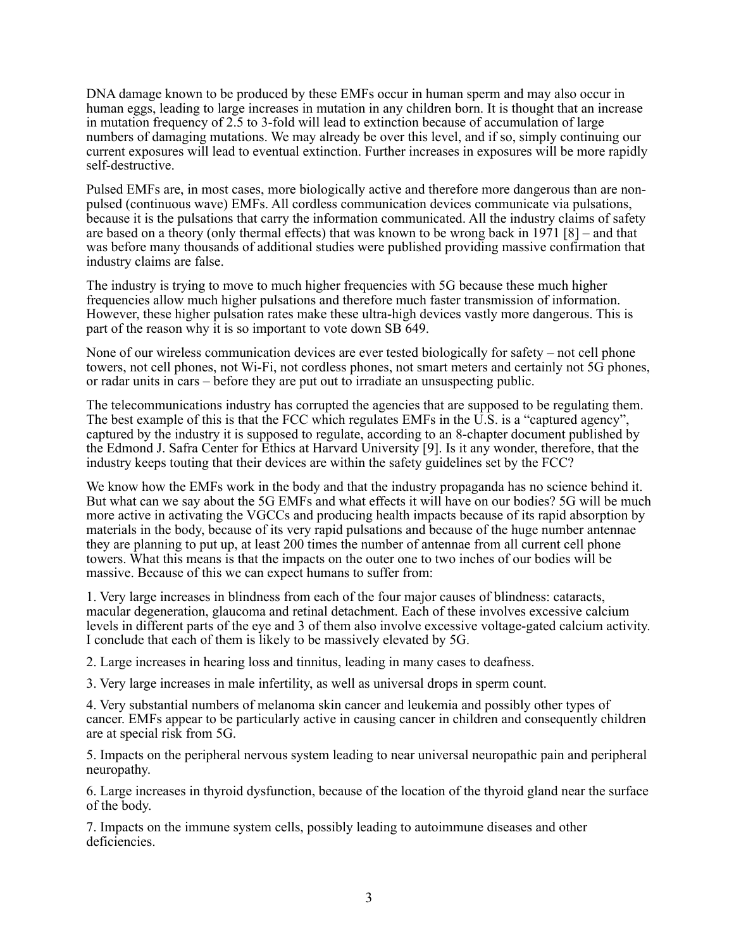DNA damage known to be produced by these EMFs occur in human sperm and may also occur in human eggs, leading to large increases in mutation in any children born. It is thought that an increase in mutation frequency of 2.5 to 3-fold will lead to extinction because of accumulation of large numbers of damaging mutations. We may already be over this level, and if so, simply continuing our current exposures will lead to eventual extinction. Further increases in exposures will be more rapidly self-destructive.

Pulsed EMFs are, in most cases, more biologically active and therefore more dangerous than are nonpulsed (continuous wave) EMFs. All cordless communication devices communicate via pulsations, because it is the pulsations that carry the information communicated. All the industry claims of safety are based on a theory (only thermal effects) that was known to be wrong back in 1971 [8] – and that was before many thousands of additional studies were published providing massive confirmation that industry claims are false.

The industry is trying to move to much higher frequencies with 5G because these much higher frequencies allow much higher pulsations and therefore much faster transmission of information. However, these higher pulsation rates make these ultra-high devices vastly more dangerous. This is part of the reason why it is so important to vote down SB 649.

None of our wireless communication devices are ever tested biologically for safety – not cell phone towers, not cell phones, not Wi-Fi, not cordless phones, not smart meters and certainly not 5G phones, or radar units in cars – before they are put out to irradiate an unsuspecting public.

The telecommunications industry has corrupted the agencies that are supposed to be regulating them. The best example of this is that the FCC which regulates EMFs in the U.S. is a "captured agency", captured by the industry it is supposed to regulate, according to an 8-chapter document published by the Edmond J. Safra Center for Ethics at Harvard University [9]. Is it any wonder, therefore, that the industry keeps touting that their devices are within the safety guidelines set by the FCC?

We know how the EMFs work in the body and that the industry propaganda has no science behind it. But what can we say about the 5G EMFs and what effects it will have on our bodies? 5G will be much more active in activating the VGCCs and producing health impacts because of its rapid absorption by materials in the body, because of its very rapid pulsations and because of the huge number antennae they are planning to put up, at least 200 times the number of antennae from all current cell phone towers. What this means is that the impacts on the outer one to two inches of our bodies will be massive. Because of this we can expect humans to suffer from:

1. Very large increases in blindness from each of the four major causes of blindness: cataracts, macular degeneration, glaucoma and retinal detachment. Each of these involves excessive calcium levels in different parts of the eye and 3 of them also involve excessive voltage-gated calcium activity. I conclude that each of them is likely to be massively elevated by 5G.

2. Large increases in hearing loss and tinnitus, leading in many cases to deafness.

3. Very large increases in male infertility, as well as universal drops in sperm count.

4. Very substantial numbers of melanoma skin cancer and leukemia and possibly other types of cancer. EMFs appear to be particularly active in causing cancer in children and consequently children are at special risk from 5G.

5. Impacts on the peripheral nervous system leading to near universal neuropathic pain and peripheral neuropathy.

6. Large increases in thyroid dysfunction, because of the location of the thyroid gland near the surface of the body.

7. Impacts on the immune system cells, possibly leading to autoimmune diseases and other deficiencies.